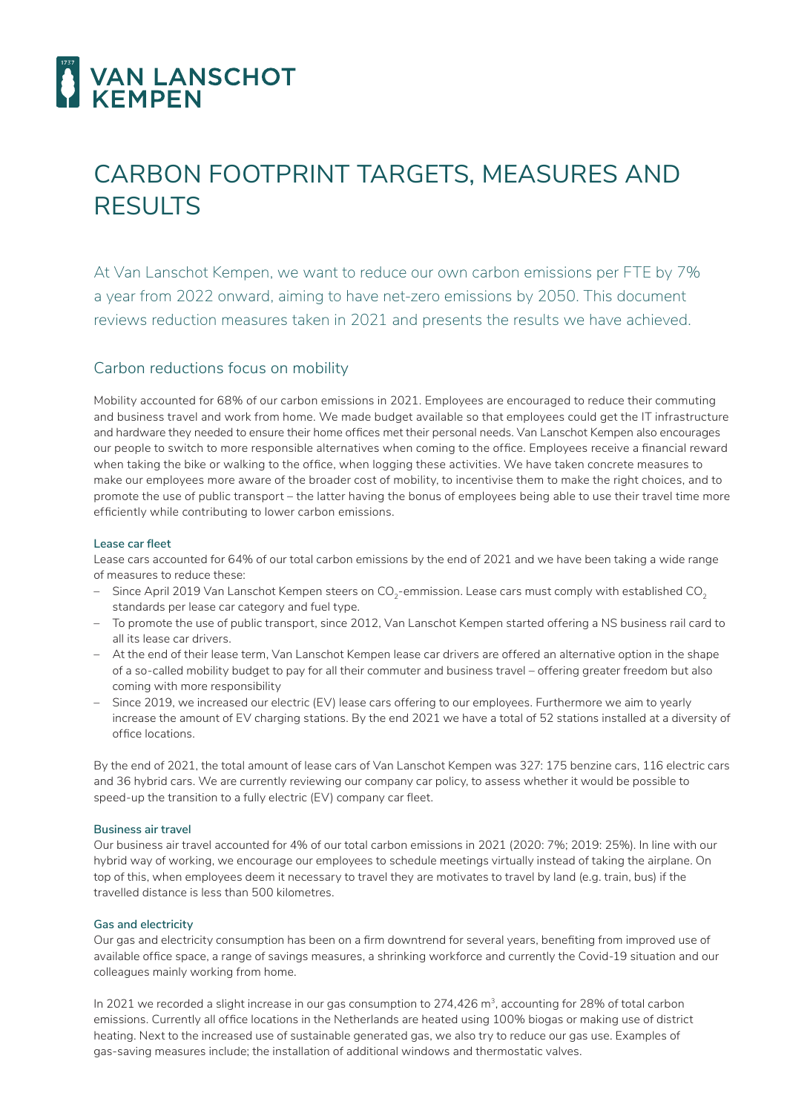

# CARBON FOOTPRINT TARGETS, MEASURES AND RESULTS

At Van Lanschot Kempen, we want to reduce our own carbon emissions per FTE by 7% a year from 2022 onward, aiming to have net-zero emissions by 2050. This document reviews reduction measures taken in 2021 and presents the results we have achieved.

# Carbon reductions focus on mobility

Mobility accounted for 68% of our carbon emissions in 2021. Employees are encouraged to reduce their commuting and business travel and work from home. We made budget available so that employees could get the IT infrastructure and hardware they needed to ensure their home offices met their personal needs. Van Lanschot Kempen also encourages our people to switch to more responsible alternatives when coming to the office. Employees receive a financial reward when taking the bike or walking to the office, when logging these activities. We have taken concrete measures to make our employees more aware of the broader cost of mobility, to incentivise them to make the right choices, and to promote the use of public transport – the latter having the bonus of employees being able to use their travel time more efficiently while contributing to lower carbon emissions.

## **Lease car fleet**

Lease cars accounted for 64% of our total carbon emissions by the end of 2021 and we have been taking a wide range of measures to reduce these:

- Since April 2019 Van Lanschot Kempen steers on CO<sub>2</sub>-emmission. Lease cars must comply with established CO<sub>2</sub> standards per lease car category and fuel type.
- To promote the use of public transport, since 2012, Van Lanschot Kempen started offering a NS business rail card to all its lease car drivers.
- At the end of their lease term, Van Lanschot Kempen lease car drivers are offered an alternative option in the shape of a so-called mobility budget to pay for all their commuter and business travel – offering greater freedom but also coming with more responsibility
- Since 2019, we increased our electric (EV) lease cars offering to our employees. Furthermore we aim to yearly increase the amount of EV charging stations. By the end 2021 we have a total of 52 stations installed at a diversity of office locations.

By the end of 2021, the total amount of lease cars of Van Lanschot Kempen was 327: 175 benzine cars, 116 electric cars and 36 hybrid cars. We are currently reviewing our company car policy, to assess whether it would be possible to speed-up the transition to a fully electric (EV) company car fleet.

## **Business air travel**

Our business air travel accounted for 4% of our total carbon emissions in 2021 (2020: 7%; 2019: 25%). In line with our hybrid way of working, we encourage our employees to schedule meetings virtually instead of taking the airplane. On top of this, when employees deem it necessary to travel they are motivates to travel by land (e.g. train, bus) if the travelled distance is less than 500 kilometres.

## **Gas and electricity**

Our gas and electricity consumption has been on a firm downtrend for several years, benefiting from improved use of available office space, a range of savings measures, a shrinking workforce and currently the Covid-19 situation and our colleagues mainly working from home.

In 2021 we recorded a slight increase in our gas consumption to 274,426 m<sup>3</sup>, accounting for 28% of total carbon emissions. Currently all office locations in the Netherlands are heated using 100% biogas or making use of district heating. Next to the increased use of sustainable generated gas, we also try to reduce our gas use. Examples of gas-saving measures include; the installation of additional windows and thermostatic valves.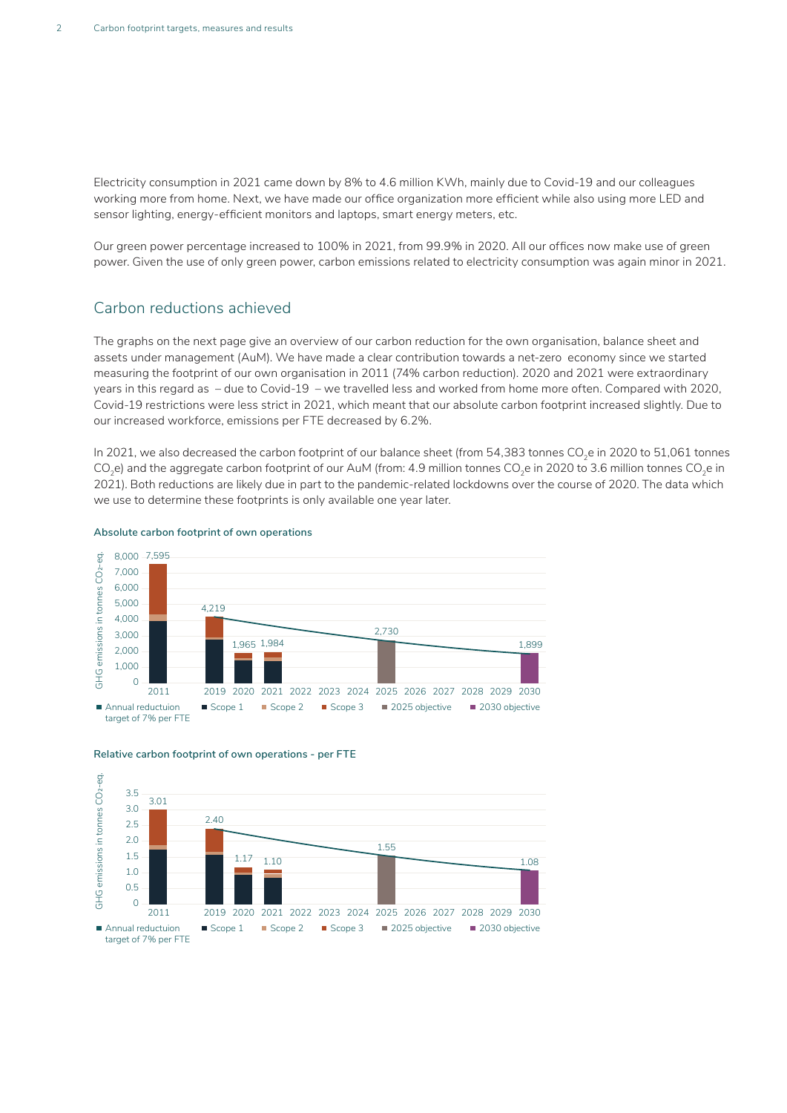Electricity consumption in 2021 came down by 8% to 4.6 million KWh, mainly due to Covid-19 and our colleagues working more from home. Next, we have made our office organization more efficient while also using more LED and sensor lighting, energy-efficient monitors and laptops, smart energy meters, etc.

Our green power percentage increased to 100% in 2021, from 99.9% in 2020. All our offices now make use of green power. Given the use of only green power, carbon emissions related to electricity consumption was again minor in 2021.

## Carbon reductions achieved

The graphs on the next page give an overview of our carbon reduction for the own organisation, balance sheet and assets under management (AuM). We have made a clear contribution towards a net-zero economy since we started measuring the footprint of our own organisation in 2011 (74% carbon reduction). 2020 and 2021 were extraordinary years in this regard as – due to Covid-19 – we travelled less and worked from home more often. Compared with 2020, Covid-19 restrictions were less strict in 2021, which meant that our absolute carbon footprint increased slightly. Due to our increased workforce, emissions per FTE decreased by 6.2%.

In 2021, we also decreased the carbon footprint of our balance sheet (from 54,383 tonnes CO<sub>2</sub>e in 2020 to 51,061 tonnes CO<sub>2</sub>e) and the aggregate carbon footprint of our AuM (from: 4.9 million tonnes CO<sub>2</sub>e in 2020 to 3.6 million tonnes CO<sub>2</sub>e in 2021). Both reductions are likely due in part to the pandemic-related lockdowns over the course of 2020. The data which we use to determine these footprints is only available one year later.



#### **Absolute carbon footprint of own operations**



#### **Relative carbon footprint of own operations - per FTE**